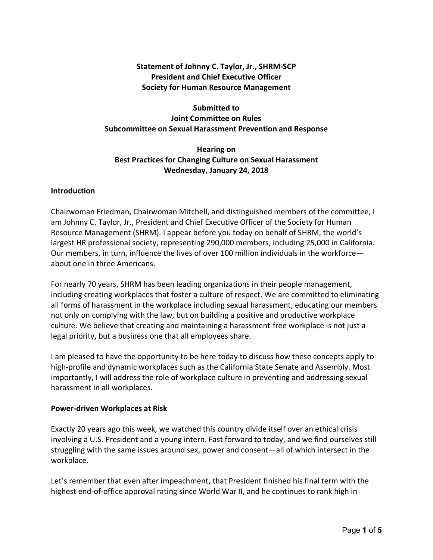# **Statement of Johnny C. Taylor, Jr., SHRM-SCP President and Chief Executive Officer Society for Human Resource Management**

# **Submitted to Joint Committee on Rules Subcommittee on Sexual Harassment Prevention and Response**

# **Hearing on Best Practices for Changing Culture on Sexual Harassment Wednesday, January 24, 2018**

## **Introduction**

Chairwoman Friedman, Chairwoman Mitchell, and distinguished members of the committee, I am Johnny C. Taylor, Jr., President and Chief Executive Officer of the Society for Human Resource Management (SHRM). I appear before you today on behalf of SHRM, the world's largest HR professional society, representing 290,000 members, including 25,000 in California. Our members, in turn, influence the lives of over 100 million individuals in the workforce about one in three Americans.

For nearly 70 years, SHRM has been leading organizations in their people management, including creating workplaces that foster a culture of respect. We are committed to eliminating all forms of harassment in the workplace including sexual harassment, educating our members not only on complying with the law, but on building a positive and productive workplace culture. We believe that creating and maintaining a harassment-free workplace is not just a legal priority, but a business one that all employees share.

I am pleased to have the opportunity to be here today to discuss how these concepts apply to high-profile and dynamic workplaces such as the California State Senate and Assembly. Most importantly, I will address the role of workplace culture in preventing and addressing sexual harassment in all workplaces.

#### **Power-driven Workplaces at Risk**

Exactly 20 years ago this week, we watched this country divide itself over an ethical crisis involving a U.S. President and a young intern. Fast forward to today, and we find ourselves still struggling with the same issues around sex, power and consent—all of which intersect in the workplace.

Let's remember that even after impeachment, that President finished his final term with the highest end-of-office approval rating since World War II, and he continues to rank high in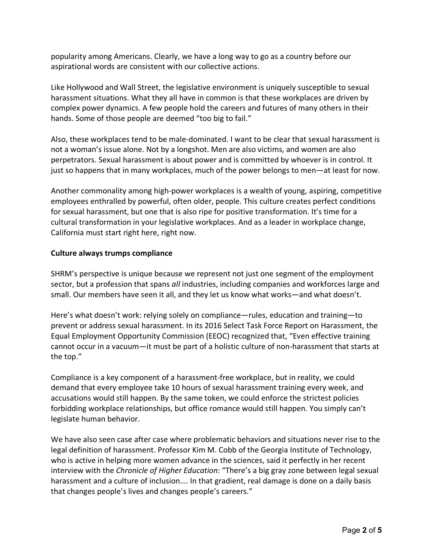popularity among Americans. Clearly, we have a long way to go as a country before our aspirational words are consistent with our collective actions.

Like Hollywood and Wall Street, the legislative environment is uniquely susceptible to sexual harassment situations. What they all have in common is that these workplaces are driven by complex power dynamics. A few people hold the careers and futures of many others in their hands. Some of those people are deemed "too big to fail."

Also, these workplaces tend to be male-dominated. I want to be clear that sexual harassment is not a woman's issue alone. Not by a longshot. Men are also victims, and women are also perpetrators. Sexual harassment is about power and is committed by whoever is in control. It just so happens that in many workplaces, much of the power belongs to men—at least for now.

Another commonality among high-power workplaces is a wealth of young, aspiring, competitive employees enthralled by powerful, often older, people. This culture creates perfect conditions for sexual harassment, but one that is also ripe for positive transformation. It's time for a cultural transformation in your legislative workplaces. And as a leader in workplace change, California must start right here, right now.

#### **Culture always trumps compliance**

SHRM's perspective is unique because we represent not just one segment of the employment sector, but a profession that spans *all* industries, including companies and workforces large and small. Our members have seen it all, and they let us know what works—and what doesn't.

Here's what doesn't work: relying solely on compliance—rules, education and training—to prevent or address sexual harassment. In its 2016 Select Task Force Report on Harassment, the Equal Employment Opportunity Commission (EEOC) recognized that, "Even effective training cannot occur in a vacuum—it must be part of a holistic culture of non-harassment that starts at the top."

Compliance is a key component of a harassment-free workplace, but in reality, we could demand that every employee take 10 hours of sexual harassment training every week, and accusations would still happen. By the same token, we could enforce the strictest policies forbidding workplace relationships, but office romance would still happen. You simply can't legislate human behavior.

We have also seen case after case where problematic behaviors and situations never rise to the legal definition of harassment. Professor Kim M. Cobb of the Georgia Institute of Technology, who is active in helping more women advance in the sciences, said it perfectly in her recent interview with the *Chronicle of Higher Education:* "There's a big gray zone between legal sexual harassment and a culture of inclusion…. In that gradient, real damage is done on a daily basis that changes people's lives and changes people's careers."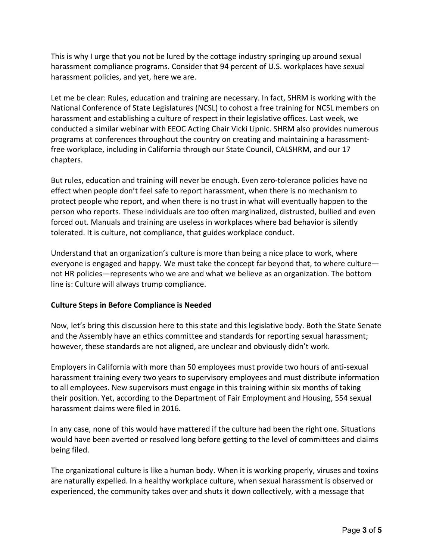This is why I urge that you not be lured by the cottage industry springing up around sexual harassment compliance programs. Consider that 94 percent of U.S. workplaces have sexual harassment policies, and yet, here we are.

Let me be clear: Rules, education and training are necessary. In fact, SHRM is working with the National Conference of State Legislatures (NCSL) to cohost a free training for NCSL members on harassment and establishing a culture of respect in their legislative offices. Last week, we conducted a similar webinar with EEOC Acting Chair Vicki Lipnic. SHRM also provides numerous programs at conferences throughout the country on creating and maintaining a harassmentfree workplace, including in California through our State Council, CALSHRM, and our 17 chapters.

But rules, education and training will never be enough. Even zero-tolerance policies have no effect when people don't feel safe to report harassment, when there is no mechanism to protect people who report, and when there is no trust in what will eventually happen to the person who reports. These individuals are too often marginalized, distrusted, bullied and even forced out. Manuals and training are useless in workplaces where bad behavior is silently tolerated. It is culture, not compliance, that guides workplace conduct.

Understand that an organization's culture is more than being a nice place to work, where everyone is engaged and happy. We must take the concept far beyond that, to where culture not HR policies—represents who we are and what we believe as an organization. The bottom line is: Culture will always trump compliance.

# **Culture Steps in Before Compliance is Needed**

Now, let's bring this discussion here to this state and this legislative body. Both the State Senate and the Assembly have an ethics committee and standards for reporting sexual harassment; however, these standards are not aligned, are unclear and obviously didn't work.

Employers in California with more than 50 employees must provide two hours of anti-sexual harassment training every two years to supervisory employees and must distribute information to all employees. New supervisors must engage in this training within six months of taking their position. Yet, according to the Department of Fair Employment and Housing, 554 sexual harassment claims were filed in 2016.

In any case, none of this would have mattered if the culture had been the right one. Situations would have been averted or resolved long before getting to the level of committees and claims being filed.

The organizational culture is like a human body. When it is working properly, viruses and toxins are naturally expelled. In a healthy workplace culture, when sexual harassment is observed or experienced, the community takes over and shuts it down collectively, with a message that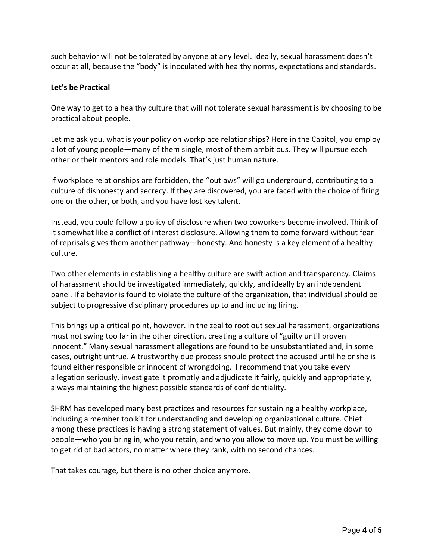such behavior will not be tolerated by anyone at any level. Ideally, sexual harassment doesn't occur at all, because the "body" is inoculated with healthy norms, expectations and standards.

## **Let's be Practical**

One way to get to a healthy culture that will not tolerate sexual harassment is by choosing to be practical about people.

Let me ask you, what is your policy on workplace relationships? Here in the Capitol, you employ a lot of young people—many of them single, most of them ambitious. They will pursue each other or their mentors and role models. That's just human nature.

If workplace relationships are forbidden, the "outlaws" will go underground, contributing to a culture of dishonesty and secrecy. If they are discovered, you are faced with the choice of firing one or the other, or both, and you have lost key talent.

Instead, you could follow a policy of disclosure when two coworkers become involved. Think of it somewhat like a conflict of interest disclosure. Allowing them to come forward without fear of reprisals gives them another pathway—honesty. And honesty is a key element of a healthy culture.

Two other elements in establishing a healthy culture are swift action and transparency. Claims of harassment should be investigated immediately, quickly, and ideally by an independent panel. If a behavior is found to violate the culture of the organization, that individual should be subject to progressive disciplinary procedures up to and including firing.

This brings up a critical point, however. In the zeal to root out sexual harassment, organizations must not swing too far in the other direction, creating a culture of "guilty until proven innocent." Many sexual harassment allegations are found to be unsubstantiated and, in some cases, outright untrue. A trustworthy due process should protect the accused until he or she is found either responsible or innocent of wrongdoing. I recommend that you take every allegation seriously, investigate it promptly and adjudicate it fairly, quickly and appropriately, always maintaining the highest possible standards of confidentiality.

SHRM has developed many best practices and resources for sustaining a healthy workplace, including a member toolkit for understanding and developing organizational culture. Chief among these practices is having a strong statement of values. But mainly, they come down to people—who you bring in, who you retain, and who you allow to move up. You must be willing to get rid of bad actors, no matter where they rank, with no second chances.

That takes courage, but there is no other choice anymore.